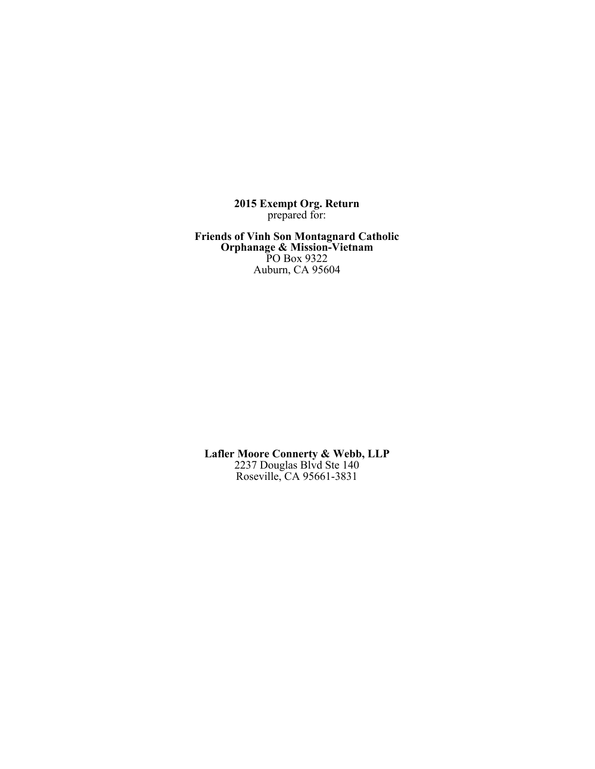**2015 Exempt Org. Return** prepared for:

**Friends of Vinh Son Montagnard Catholic Orphanage & Mission-Vietnam** PO Box 9322 Auburn, CA 95604

**Lafler Moore Connerty & Webb, LLP** 2237 Douglas Blvd Ste 140 Roseville, CA 95661-3831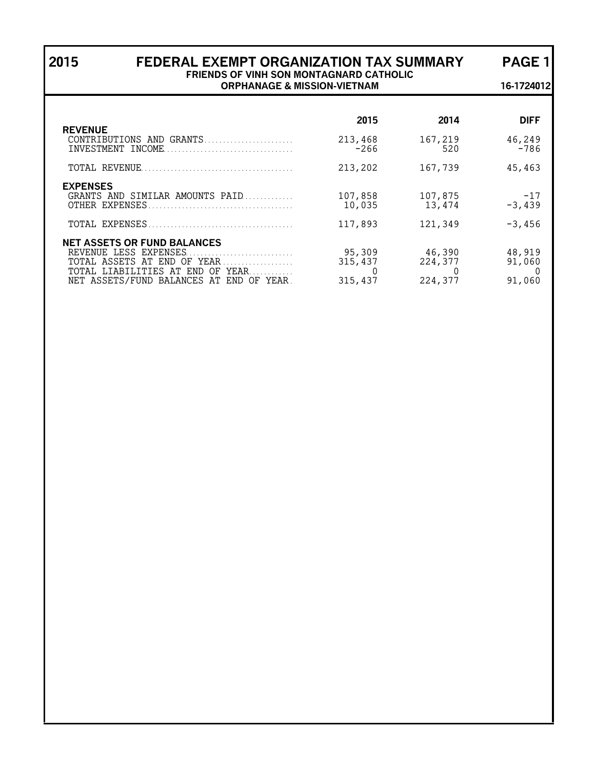## **2015 FEDERAL EXEMPT ORGANIZATION TAX SUMMARY PAGE 1 FRIENDS OF VINH SON MONTAGNARD CATHOLIC ORPHANAGE & MISSION-VIETNAM 16-1724012**

| <b>REVENUE</b>                                                                                                                                                               | 2015                         | 2014                         | <b>DIFF</b>                   |
|------------------------------------------------------------------------------------------------------------------------------------------------------------------------------|------------------------------|------------------------------|-------------------------------|
| CONTRIBUTIONS AND GRANTS<br>INVESTMENT INCOME                                                                                                                                | 213,468<br>$-266$            | 167,219<br>520               | 46,249<br>$-786$              |
|                                                                                                                                                                              | 213,202                      | 167,739                      | 45,463                        |
| <b>EXPENSES</b><br>GRANTS AND SIMILAR AMOUNTS PAID<br>OTHER EXPENSES<br>TOTAL EXPENSES                                                                                       | 107,858<br>10,035<br>117,893 | 107,875<br>13,474<br>121,349 | $-17$<br>$-3,439$<br>$-3,456$ |
| <b>NET ASSETS OR FUND BALANCES</b><br>REVENUE LESS EXPENSES<br>TOTAL ASSETS AT END OF YEAR<br>TOTAL LIABILITIES AT END OF YEAR<br>NET ASSETS/FUND BALANCES AT<br>END OF YEAR | 95,309<br>315,437<br>315,437 | 46,390<br>224,377<br>224,377 | 48,919<br>91,060<br>91,060    |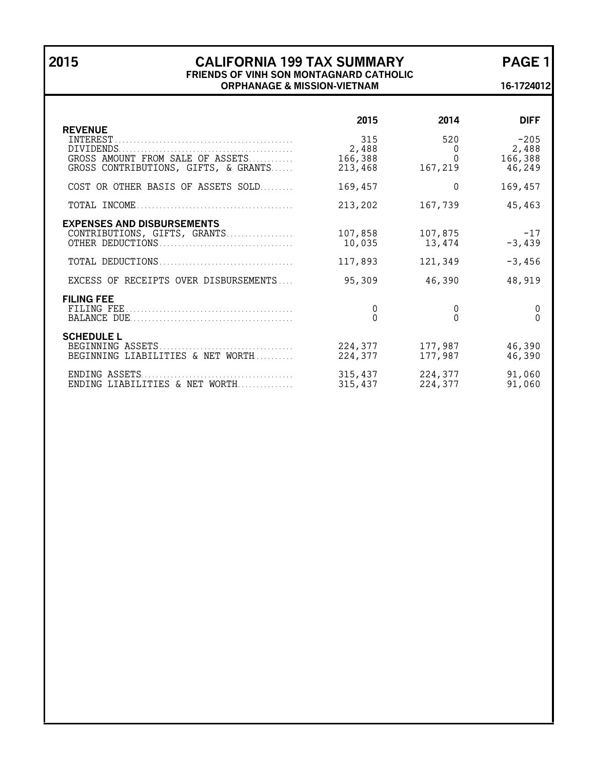## **2015 CALIFORNIA 199 TAX SUMMARY PAGE 1 FRIENDS OF VINH SON MONTAGNARD CATHOLIC ORPHANAGE & MISSION-VIETNAM 16-1724012**

| <b>REVENUE</b>                                                           | 2015                               | 2014                            | <b>DIFF</b>                          |
|--------------------------------------------------------------------------|------------------------------------|---------------------------------|--------------------------------------|
| GROSS AMOUNT FROM SALE OF ASSETS<br>GROSS CONTRIBUTIONS, GIFTS, & GRANTS | 315<br>2,488<br>166,388<br>213,468 | 520<br>$\Omega$<br>O<br>167,219 | $-205$<br>2,488<br>166,388<br>46,249 |
| COST OR OTHER BASIS OF ASSETS SOLD                                       | 169,457                            | 0                               | 169,457                              |
|                                                                          | 213,202                            | 167,739                         | 45,463                               |
| <b>EXPENSES AND DISBURSEMENTS</b><br>CONTRIBUTIONS, GIFTS, GRANTS        | 107,858<br>10,035<br>117,893       | 107,875<br>13,474<br>121,349    | $-17$<br>$-3,439$<br>$-3,456$        |
| EXCESS OF RECEIPTS OVER DISBURSEMENTS                                    | 95,309                             | 46,390                          | 48,919                               |
| <b>FILING FEE</b>                                                        | 0<br>$\theta$                      | 0<br>$\Omega$                   | 0<br>$\Omega$                        |
| <b>SCHEDULE L</b><br>BEGINNING LIABILITIES & NET WORTH                   | 224,377<br>224,377                 | 177,987<br>177,987              | 46,390<br>46,390                     |
| ENDING ASSETS<br>ENDING LIABILITIES & NET WORTH                          | 315,437<br>315,437                 | 224,377<br>224,377              | 91,060<br>91,060                     |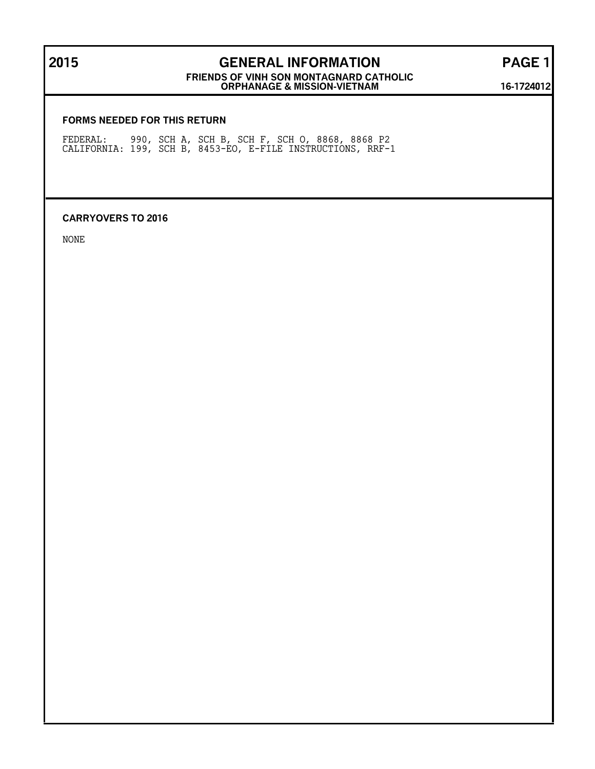# **2015 GENERAL INFORMATION PAGE 1**

**FRIENDS OF VINH SON MONTAGNARD CATHOLIC ORPHANAGE & MISSION-VIETNAM 16-1724012**

#### **FORMS NEEDED FOR THIS RETURN**

FEDERAL: 990, SCH A, SCH B, SCH F, SCH O, 8868, 8868 P2 CALIFORNIA: 199, SCH B, 8453-EO, E-FILE INSTRUCTIONS, RRF-1

#### **CARRYOVERS TO 2016**

NONE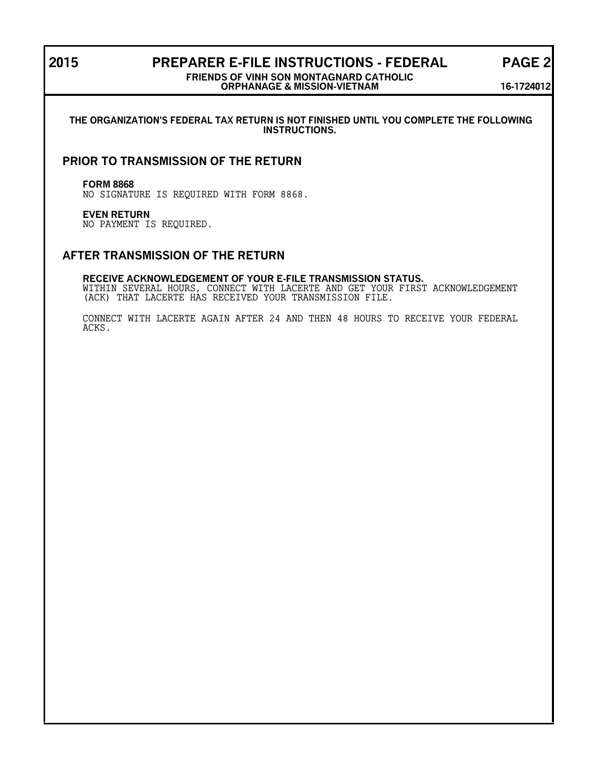## **2015 PREPARER E-FILE INSTRUCTIONS - FEDERAL PAGE 2**

#### **FRIENDS OF VINH SON MONTAGNARD CATHOLIC ORPHANAGE & MISSION-VIETNAM 16-1724012**

#### **THE ORGANIZATION'S FEDERAL TAX RETURN IS NOT FINISHED UNTIL YOU COMPLETE THE FOLLOWING INSTRUCTIONS.**

## **PRIOR TO TRANSMISSION OF THE RETURN**

#### **FORM 8868**

NO SIGNATURE IS REQUIRED WITH FORM 8868.

#### **EVEN RETURN**

NO PAYMENT IS REQUIRED.

## **AFTER TRANSMISSION OF THE RETURN**

#### **RECEIVE ACKNOWLEDGEMENT OF YOUR E-FILE TRANSMISSION STATUS.**

WITHIN SEVERAL HOURS, CONNECT WITH LACERTE AND GET YOUR FIRST ACKNOWLEDGEMENT (ACK) THAT LACERTE HAS RECEIVED YOUR TRANSMISSION FILE.

CONNECT WITH LACERTE AGAIN AFTER 24 AND THEN 48 HOURS TO RECEIVE YOUR FEDERAL ACKS.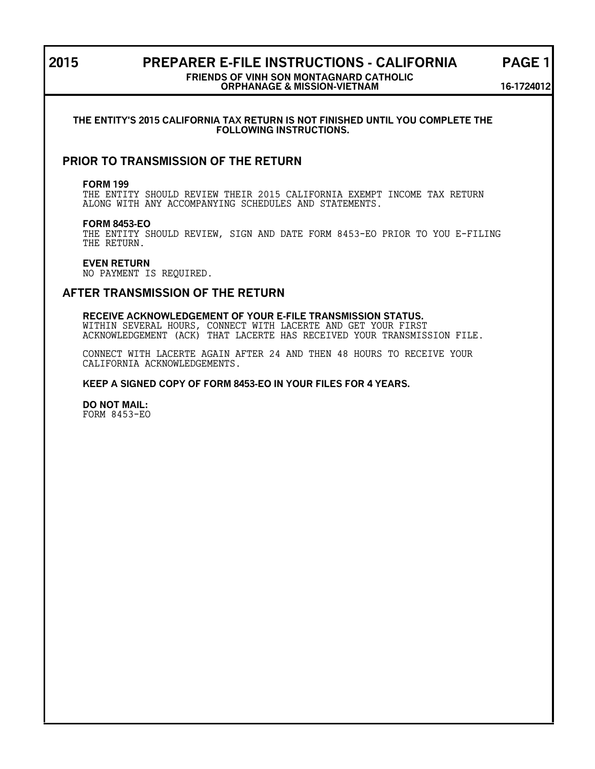## **2015 PREPARER E-FILE INSTRUCTIONS - CALIFORNIA PAGE 1**

#### **FRIENDS OF VINH SON MONTAGNARD CATHOLIC ORPHANAGE & MISSION-VIETNAM 16-1724012**

#### **THE ENTITY'S 2015 CALIFORNIA TAX RETURN IS NOT FINISHED UNTIL YOU COMPLETE THE FOLLOWING INSTRUCTIONS.**

## **PRIOR TO TRANSMISSION OF THE RETURN**

#### **FORM 199**

THE ENTITY SHOULD REVIEW THEIR 2015 CALIFORNIA EXEMPT INCOME TAX RETURN ALONG WITH ANY ACCOMPANYING SCHEDULES AND STATEMENTS.

#### **FORM 8453-EO**

THE ENTITY SHOULD REVIEW, SIGN AND DATE FORM 8453-EO PRIOR TO YOU E-FILING THE RETURN.

#### **EVEN RETURN**

NO PAYMENT IS REQUIRED.

### **AFTER TRANSMISSION OF THE RETURN**

### **RECEIVE ACKNOWLEDGEMENT OF YOUR E-FILE TRANSMISSION STATUS.** WITHIN SEVERAL HOURS, CONNECT WITH LACERTE AND GET YOUR FIRST

ACKNOWLEDGEMENT (ACK) THAT LACERTE HAS RECEIVED YOUR TRANSMISSION FILE.

CONNECT WITH LACERTE AGAIN AFTER 24 AND THEN 48 HOURS TO RECEIVE YOUR CALIFORNIA ACKNOWLEDGEMENTS.

#### **KEEP A SIGNED COPY OF FORM 8453-EO IN YOUR FILES FOR 4 YEARS.**

**DO NOT MAIL:** FORM 8453-EO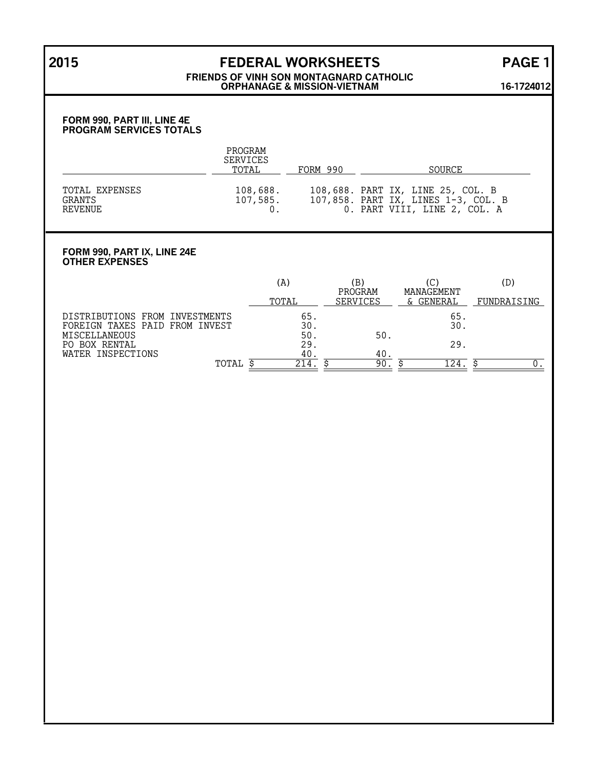# **2015 FEDERAL WORKSHEETS PAGE 1**

#### **FRIENDS OF VINH SON MONTAGNARD CATHOLIC ORPHANAGE & MISSION-VIETNAM 16-1724012**

#### **FORM 990, PART III, LINE 4E PROGRAM SERVICES TOTALS**

|                                            | PROGRAM<br><b>SERVICES</b><br>TOTAL | FORM 990 | <b>SOURCE</b>                                                                                            |
|--------------------------------------------|-------------------------------------|----------|----------------------------------------------------------------------------------------------------------|
| TOTAL EXPENSES<br><b>GRANTS</b><br>REVENUE | 108,688.<br>107,585.                |          | 108,688. PART IX, LINE 25, COL. B<br>107,858. PART IX, LINES 1-3, COL. B<br>0. PART VIII, LINE 2, COL. A |

#### **FORM 990, PART IX, LINE 24E OTHER EXPENSES**

|                                   | (A)   | (B)                        | (C)                     | (D)         |
|-----------------------------------|-------|----------------------------|-------------------------|-------------|
|                                   | TOTAL | PROGRAM<br><b>SERVICES</b> | MANAGEMENT<br>& GENERAL | FUNDRAISING |
| DISTRIBUTIONS FROM INVESTMENTS    | 65    |                            | 65                      |             |
| TAXES PAID FROM INVEST<br>FOREIGN | 30.   |                            | 30.                     |             |
| MISCELLANEOUS                     | 50.   | 50.                        |                         |             |
| BOX RENTAL<br>PO.                 | 29    |                            | 29.                     |             |
| WATER INSPECTIONS                 | 40    | 40                         |                         |             |
| TOTAL                             | 214   | 90                         | .24                     |             |